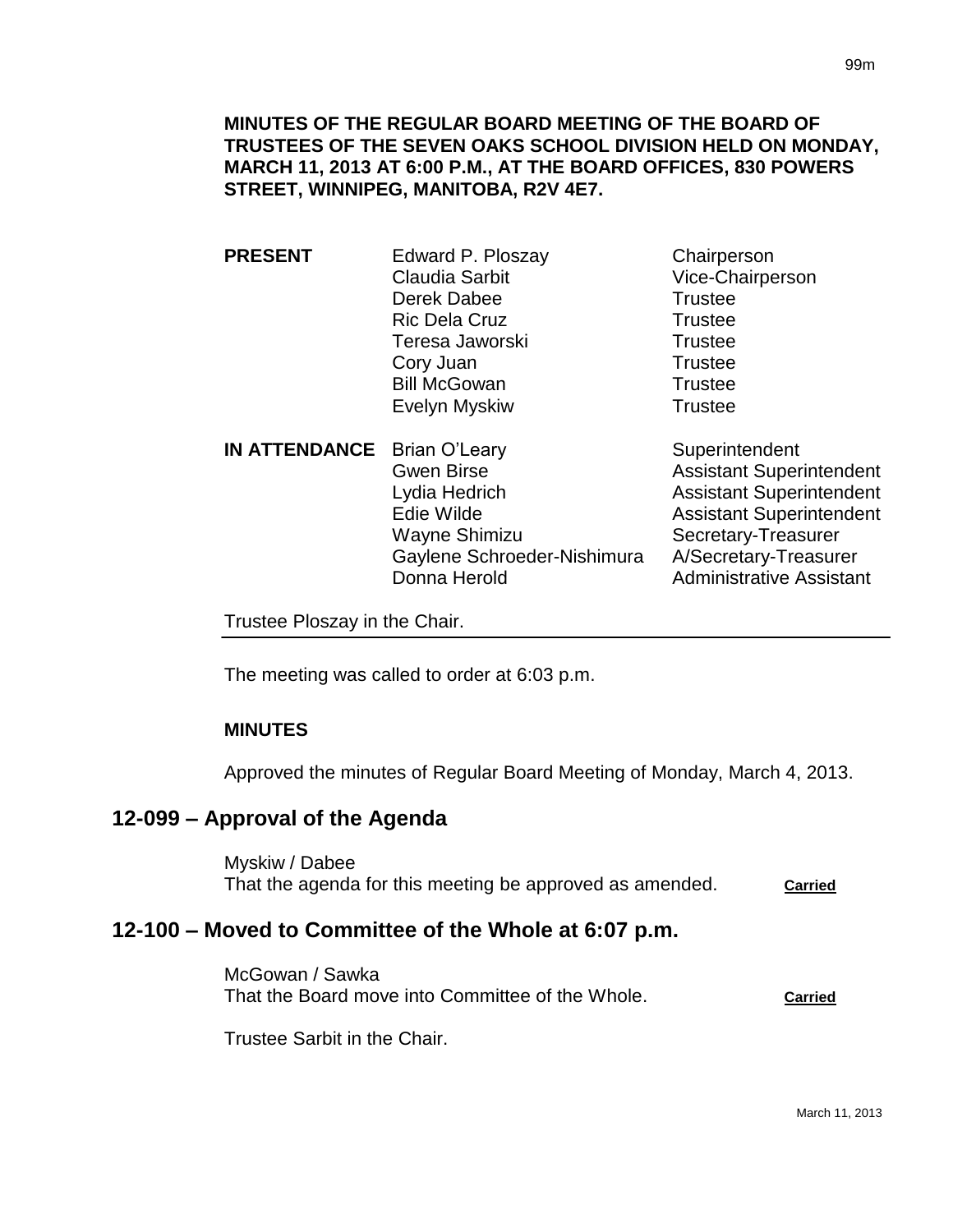- **PRESENT** Edward P. Ploszay Chairperson Claudia Sarbit Vice-Chairperson Derek Dabee Trustee Ric Dela Cruz **Trustee** Teresa Jaworski **Trustee** Cory Juan Trustee Bill McGowan Trustee Evelyn Myskiw **Trustee**
- **IN ATTENDANCE** Brian O'Leary Superintendent Gwen Birse **Assistant Superintendent** Lydia Hedrich **Assistant Superintendent** Edie Wilde **Assistant Superintendent** Wayne Shimizu Secretary-Treasurer Gaylene Schroeder-Nishimura A/Secretary-Treasurer Donna Herold **Administrative Assistant**

Trustee Ploszay in the Chair.

The meeting was called to order at 6:03 p.m.

## **MINUTES**

Approved the minutes of Regular Board Meeting of Monday, March 4, 2013.

## **12-099 – Approval of the Agenda**

Myskiw / Dabee That the agenda for this meeting be approved as amended. **Carried**

# **12-100 – Moved to Committee of the Whole at 6:07 p.m.**

McGowan / Sawka That the Board move into Committee of the Whole. **Carried**

Trustee Sarbit in the Chair.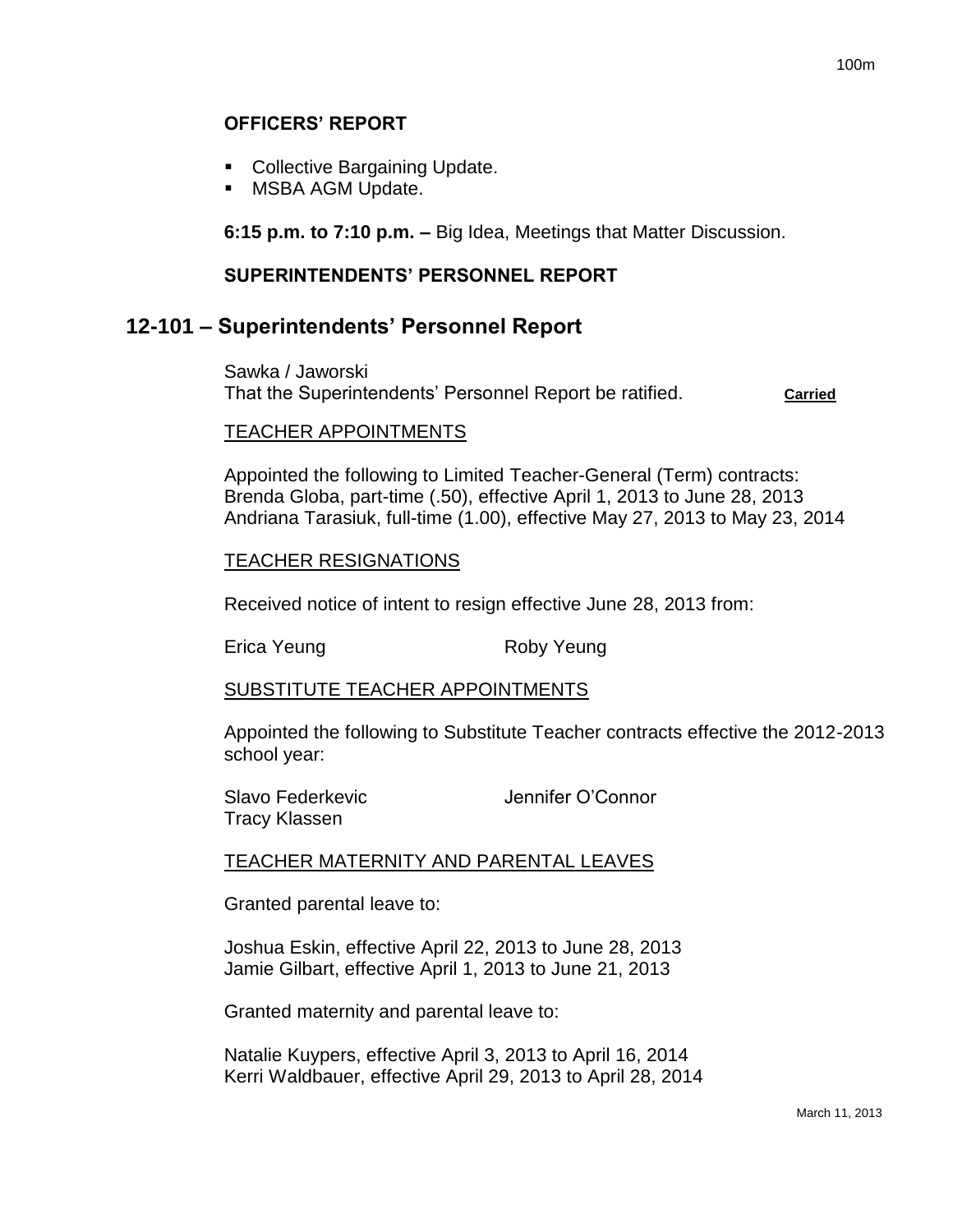## **OFFICERS' REPORT**

- Collective Bargaining Update.
- **MSBA AGM Update.**

**6:15 p.m. to 7:10 p.m. –** Big Idea, Meetings that Matter Discussion.

## **SUPERINTENDENTS' PERSONNEL REPORT**

## **12-101 – Superintendents' Personnel Report**

Sawka / Jaworski That the Superintendents' Personnel Report be ratified. **Carried**

### TEACHER APPOINTMENTS

Appointed the following to Limited Teacher-General (Term) contracts: Brenda Globa, part-time (.50), effective April 1, 2013 to June 28, 2013 Andriana Tarasiuk, full-time (1.00), effective May 27, 2013 to May 23, 2014

### TEACHER RESIGNATIONS

Received notice of intent to resign effective June 28, 2013 from:

Erica Yeung **Roby Yeung** 

## SUBSTITUTE TEACHER APPOINTMENTS

Appointed the following to Substitute Teacher contracts effective the 2012-2013 school year:

| Slavo Federkevic | Jennifer O'Connor |
|------------------|-------------------|
| Tracy Klassen    |                   |

### TEACHER MATERNITY AND PARENTAL LEAVES

Granted parental leave to:

Joshua Eskin, effective April 22, 2013 to June 28, 2013 Jamie Gilbart, effective April 1, 2013 to June 21, 2013

Granted maternity and parental leave to:

Natalie Kuypers, effective April 3, 2013 to April 16, 2014 Kerri Waldbauer, effective April 29, 2013 to April 28, 2014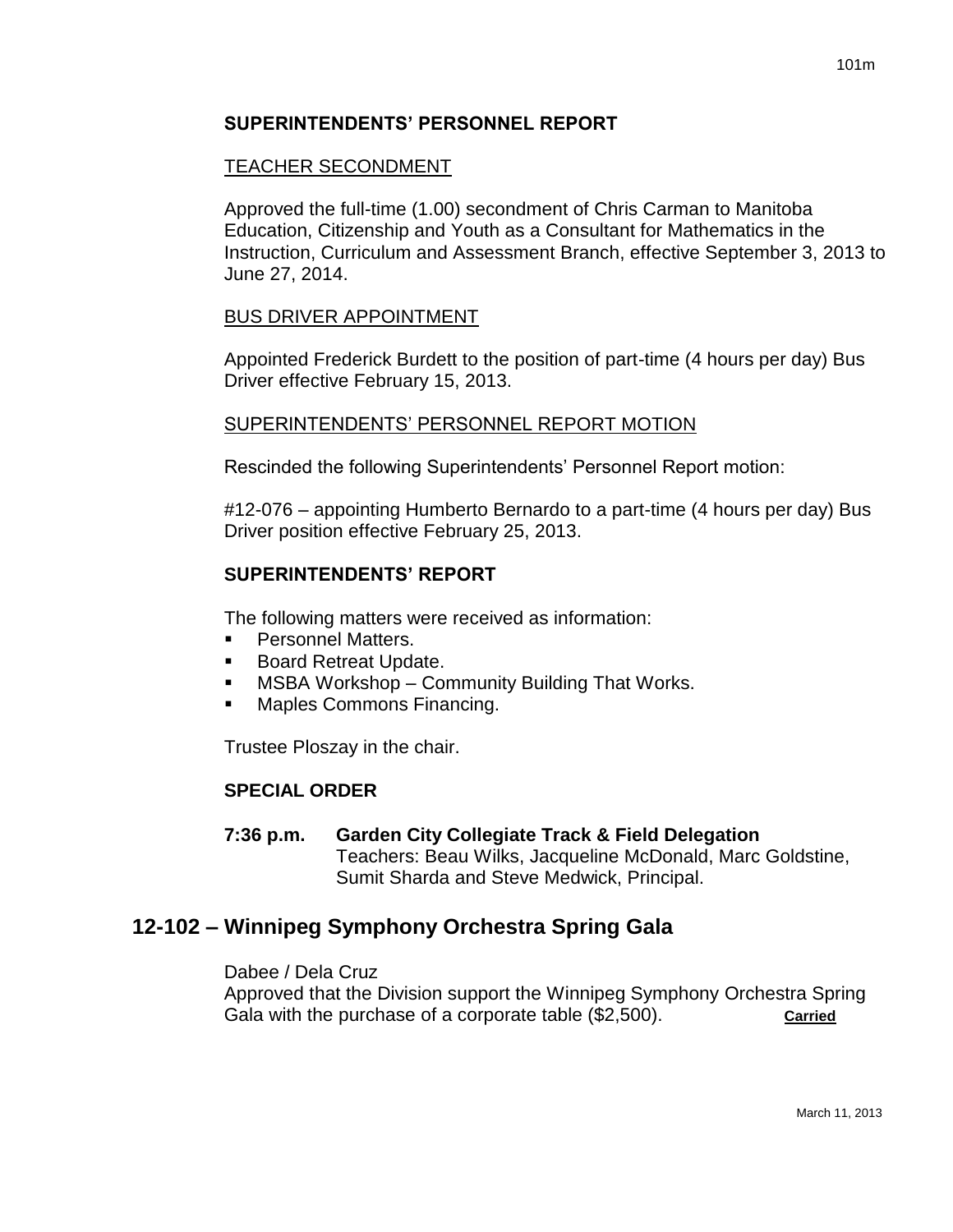## **SUPERINTENDENTS' PERSONNEL REPORT**

### TEACHER SECONDMENT

Approved the full-time (1.00) secondment of Chris Carman to Manitoba Education, Citizenship and Youth as a Consultant for Mathematics in the Instruction, Curriculum and Assessment Branch, effective September 3, 2013 to June 27, 2014.

### BUS DRIVER APPOINTMENT

Appointed Frederick Burdett to the position of part-time (4 hours per day) Bus Driver effective February 15, 2013.

### SUPERINTENDENTS' PERSONNEL REPORT MOTION

Rescinded the following Superintendents' Personnel Report motion:

#12-076 – appointing Humberto Bernardo to a part-time (4 hours per day) Bus Driver position effective February 25, 2013.

## **SUPERINTENDENTS' REPORT**

The following matters were received as information:

- Personnel Matters.
- **Board Retreat Update.**
- MSBA Workshop Community Building That Works.
- Maples Commons Financing.

Trustee Ploszay in the chair.

### **SPECIAL ORDER**

**7:36 p.m. Garden City Collegiate Track & Field Delegation** Teachers: Beau Wilks, Jacqueline McDonald, Marc Goldstine, Sumit Sharda and Steve Medwick, Principal.

## **12-102 – Winnipeg Symphony Orchestra Spring Gala**

Dabee / Dela Cruz Approved that the Division support the Winnipeg Symphony Orchestra Spring Gala with the purchase of a corporate table (\$2,500). **Carried**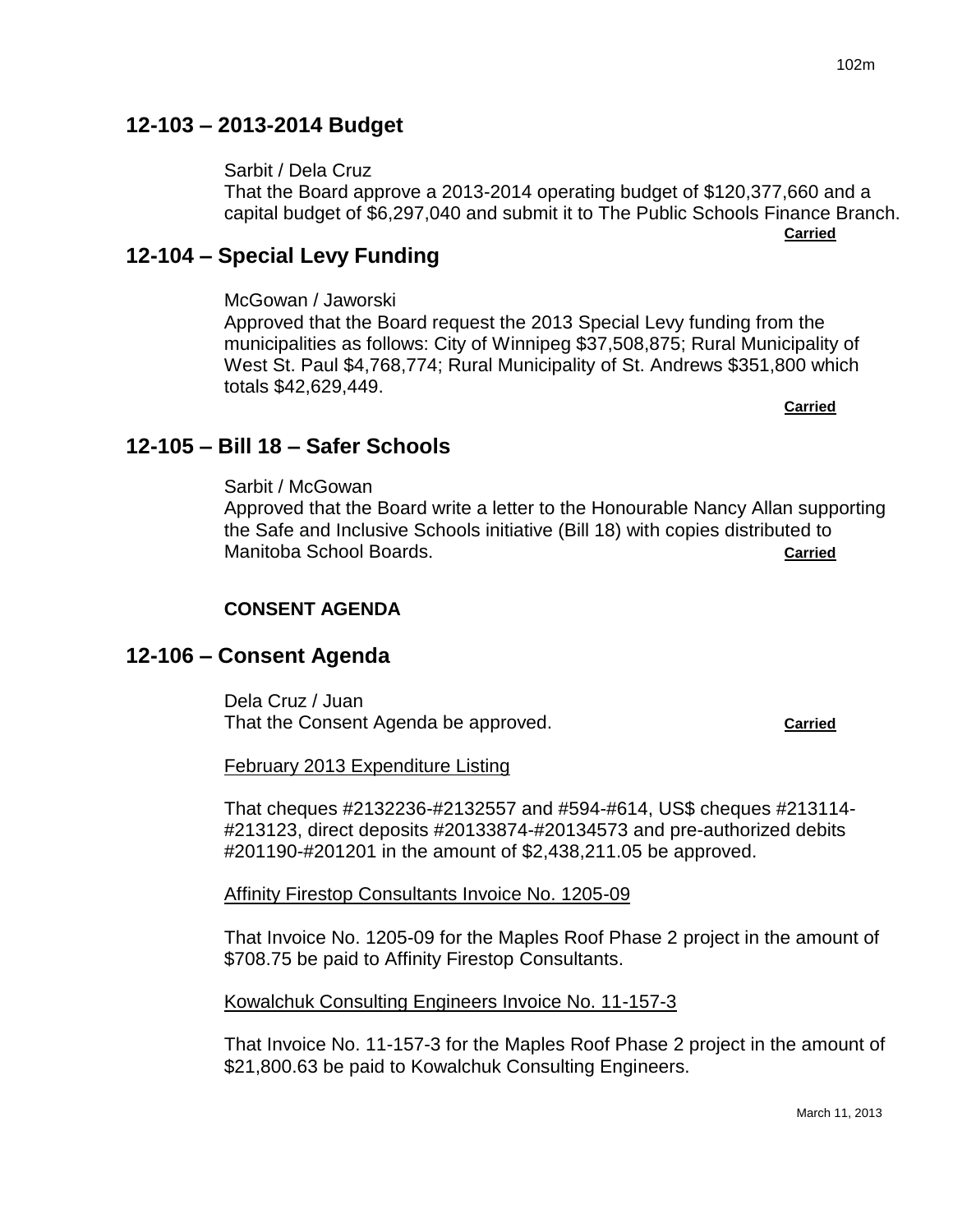# **12-103 – 2013-2014 Budget**

# Sarbit / Dela Cruz

That the Board approve a 2013-2014 operating budget of \$120,377,660 and a capital budget of \$6,297,040 and submit it to The Public Schools Finance Branch. **Carried**

# **12-104 – Special Levy Funding**

McGowan / Jaworski

Approved that the Board request the 2013 Special Levy funding from the municipalities as follows: City of Winnipeg \$37,508,875; Rural Municipality of West St. Paul \$4,768,774; Rural Municipality of St. Andrews \$351,800 which totals \$42,629,449.

**Carried**

# **12-105 – Bill 18 – Safer Schools**

Sarbit / McGowan Approved that the Board write a letter to the Honourable Nancy Allan supporting the Safe and Inclusive Schools initiative (Bill 18) with copies distributed to Manitoba School Boards. **Carried**

# **CONSENT AGENDA**

# **12-106 – Consent Agenda**

Dela Cruz / Juan That the Consent Agenda be approved. **Carried**

February 2013 Expenditure Listing

That cheques #2132236-#2132557 and #594-#614, US\$ cheques #213114- #213123, direct deposits #20133874-#20134573 and pre-authorized debits #201190-#201201 in the amount of \$2,438,211.05 be approved.

Affinity Firestop Consultants Invoice No. 1205-09

That Invoice No. 1205-09 for the Maples Roof Phase 2 project in the amount of \$708.75 be paid to Affinity Firestop Consultants.

Kowalchuk Consulting Engineers Invoice No. 11-157-3

That Invoice No. 11-157-3 for the Maples Roof Phase 2 project in the amount of \$21,800.63 be paid to Kowalchuk Consulting Engineers.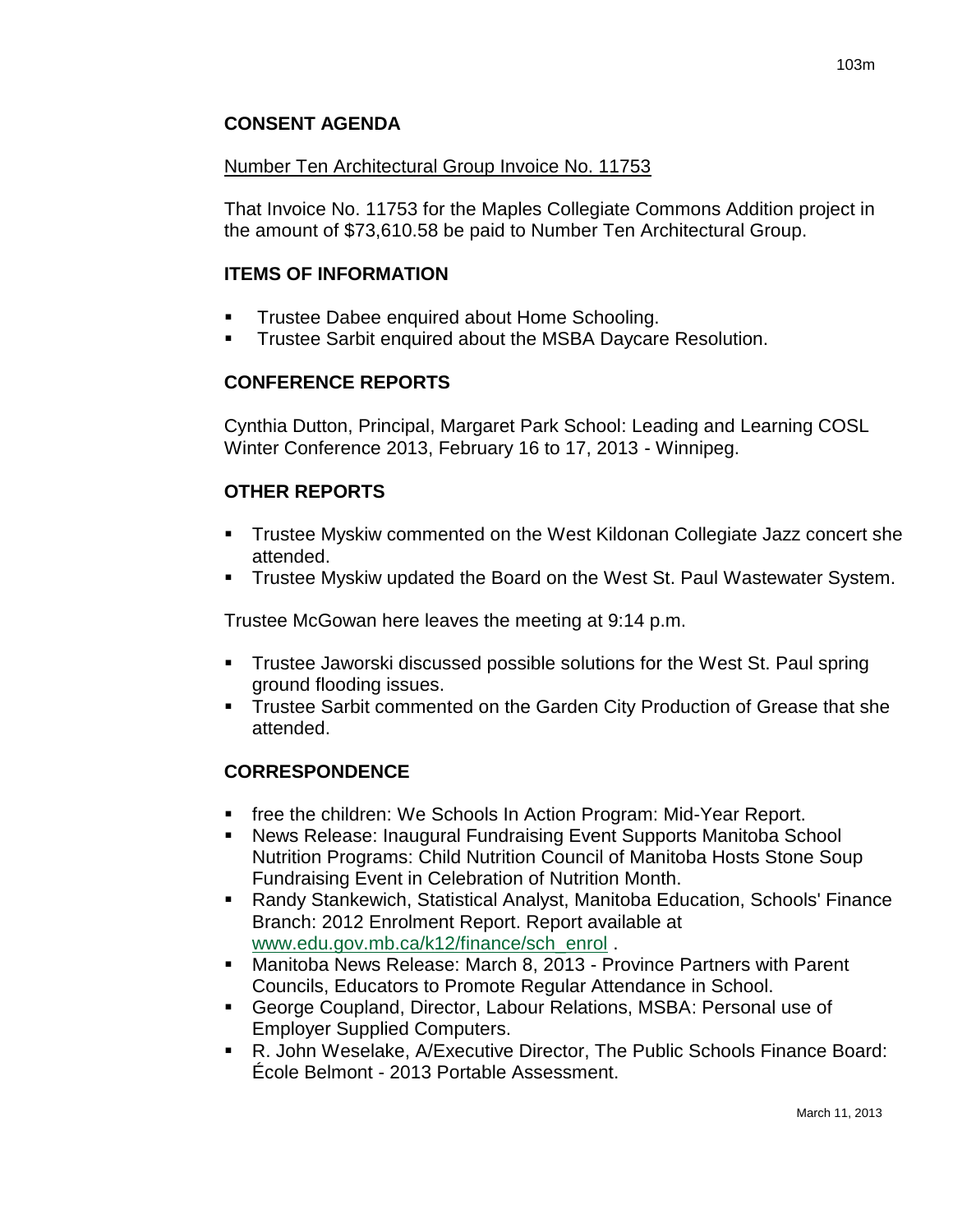## **CONSENT AGENDA**

### Number Ten Architectural Group Invoice No. 11753

That Invoice No. 11753 for the Maples Collegiate Commons Addition project in the amount of \$73,610.58 be paid to Number Ten Architectural Group.

### **ITEMS OF INFORMATION**

- Trustee Dabee enquired about Home Schooling.
- **Trustee Sarbit enquired about the MSBA Daycare Resolution.**

## **CONFERENCE REPORTS**

Cynthia Dutton, Principal, Margaret Park School: Leading and Learning COSL Winter Conference 2013, February 16 to 17, 2013 - Winnipeg.

## **OTHER REPORTS**

- **Trustee Myskiw commented on the West Kildonan Collegiate Jazz concert she** attended.
- Trustee Myskiw updated the Board on the West St. Paul Wastewater System.

Trustee McGowan here leaves the meeting at 9:14 p.m.

- Trustee Jaworski discussed possible solutions for the West St. Paul spring ground flooding issues.
- **Trustee Sarbit commented on the Garden City Production of Grease that she** attended.

## **CORRESPONDENCE**

- free the children: We Schools In Action Program: Mid-Year Report.
- News Release: Inaugural Fundraising Event Supports Manitoba School Nutrition Programs: Child Nutrition Council of Manitoba Hosts Stone Soup Fundraising Event in Celebration of Nutrition Month.
- Randy Stankewich, Statistical Analyst, Manitoba Education, Schools' Finance Branch: 2012 Enrolment Report. Report available at [www.edu.gov.mb.ca/k12/finance/sch\\_enrol](http://www.edu.gov.mb.ca/k12/finance/sch_enrol) .
- Manitoba News Release: March 8, 2013 Province Partners with Parent Councils, Educators to Promote Regular Attendance in School.
- George Coupland, Director, Labour Relations, MSBA: Personal use of Employer Supplied Computers.
- R. John Weselake, A/Executive Director, The Public Schools Finance Board: École Belmont - 2013 Portable Assessment.